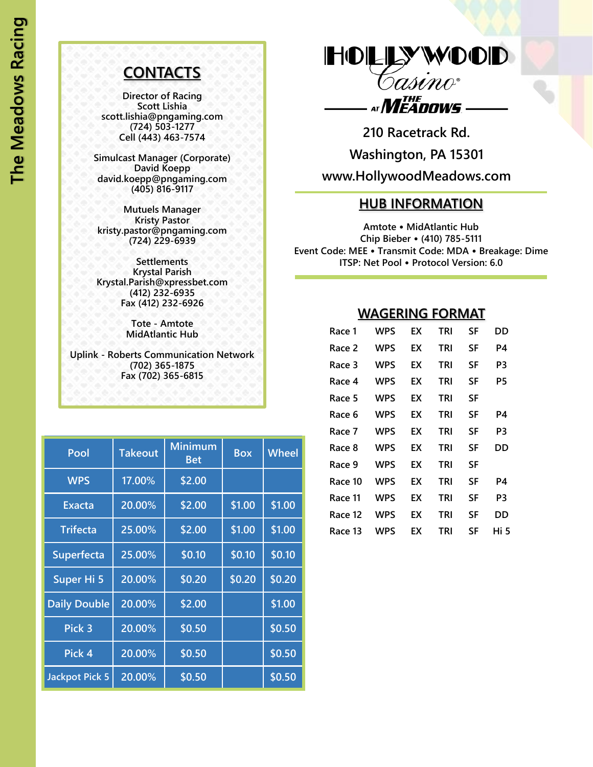## **CONTACTS**

**Director of Racing Scott Lishia scott.lishia@pngaming.com (724) 503-1277 Cell (443) 463-7574**

**Simulcast Manager (Corporate) David Koepp david.koepp@pngaming.com (405) 816-9117**

**Mutuels Manager Kristy Pastor kristy.pastor@pngaming.com (724) 229-6939**

**Settlements Krystal Parish Krystal.Parish@xpressbet.com (412) 232-6935 Fax (412) 232-6926**

> **Tote - Amtote MidAtlantic Hub**

**Uplink - Roberts Communication Network (702) 365-1875 Fax (702) 365-6815**

| Pool                  | <b>Takeout</b> | <b>Minimum</b><br><b>Bet</b> | <b>Box</b> | Wheel  |
|-----------------------|----------------|------------------------------|------------|--------|
| <b>WPS</b>            | 17.00%         | \$2.00                       |            |        |
| <b>Exacta</b>         | 20.00%         | \$2.00                       | \$1.00     | \$1.00 |
| <b>Trifecta</b>       | 25.00%         | \$2.00                       | \$1.00     | \$1.00 |
| Superfecta            | 25.00%         | \$0.10                       | \$0.10     | \$0.10 |
| Super Hi 5            | 20.00%         | \$0.20                       | \$0.20     | \$0.20 |
| <b>Daily Double</b>   | 20.00%         | \$2.00                       |            | \$1.00 |
| Pick 3                | 20.00%         | \$0.50                       |            | \$0.50 |
| Pick 4                | 20.00%         | \$0.50                       |            | \$0.50 |
| <b>Jackpot Pick 5</b> | 20.00%         | \$0.50                       |            | \$0.50 |

HOLLYWOOD Casino• AT *MEADOWS* -

**210 Racetrack Rd. Washington, PA 15301 www.HollywoodMeadows.com**

## **HUB INFORMATION**

**Amtote** • **MidAtlantic Hub Chip Bieber** • **(410) 785-5111 Event Code: MEE** • **Transmit Code: MDA** • **Breakage: Dime ITSP: Net Pool** • **Protocol Version: 6.0**

## **WAGERING FORMAT**

| Race 1  | WPS | EХ | <b>TRI</b> | SF | DD   |
|---------|-----|----|------------|----|------|
| Race 2  | WPS | EХ | <b>TRI</b> | SF | P4   |
| Race 3  | WPS | EХ | <b>TRI</b> | SF | P3   |
| Race 4  | WPS | EХ | TRI        | SF | P5   |
| Race 5  | WPS | EХ | TRI        | SF |      |
| Race 6  | WPS | EХ | TRI        | SF | P4   |
| Race 7  | WPS | EХ | TRI        | SF | P3   |
| Race 8  | WPS | EХ | <b>TRI</b> | SF | DD   |
| Race 9  | WPS | EХ | TRI        | SF |      |
| Race 10 | WPS | EХ | <b>TRI</b> | SF | P4   |
| Race 11 | WPS | EХ | TRI        | SF | P3   |
| Race 12 | WPS | EХ | TRI        | SF | DD   |
| Race 13 | WPS | EХ | TRI        | SF | Hi 5 |